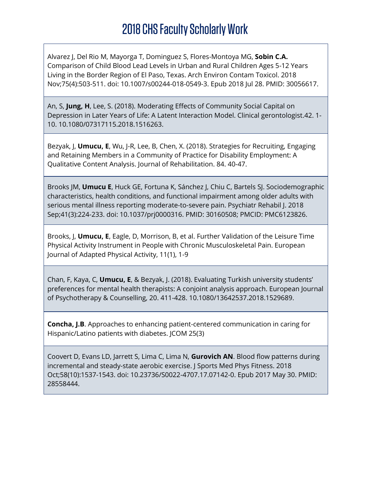Alvarez J, Del Rio M, Mayorga T, Dominguez S, Flores-Montoya MG, **Sobin C.A.** Comparison of Child Blood Lead Levels in Urban and Rural Children Ages 5-12 Years Living in the Border Region of El Paso, Texas. Arch Environ Contam Toxicol. 2018 Nov;75(4):503-511. doi: 10.1007/s00244-018-0549-3. Epub 2018 Jul 28. PMID: 30056617.

An, S, **Jung, H**, Lee, S. (2018). Moderating Effects of Community Social Capital on Depression in Later Years of Life: A Latent Interaction Model. Clinical gerontologist.42. 1- 10. 10.1080/07317115.2018.1516263.

Bezyak, J, **Umucu, E**, Wu, J-R, Lee, B, Chen, X. (2018). Strategies for Recruiting, Engaging and Retaining Members in a Community of Practice for Disability Employment: A Qualitative Content Analysis. Journal of Rehabilitation. 84. 40-47.

Brooks JM, **Umucu E**, Huck GE, Fortuna K, Sánchez J, Chiu C, Bartels SJ. Sociodemographic characteristics, health conditions, and functional impairment among older adults with serious mental illness reporting moderate-to-severe pain. Psychiatr Rehabil J. 2018 Sep;41(3):224-233. doi: 10.1037/prj0000316. PMID: 30160508; PMCID: PMC6123826.

Brooks, J, **Umucu, E**, Eagle, D, Morrison, B, et al. Further Validation of the Leisure Time Physical Activity Instrument in People with Chronic Musculoskeletal Pain. European Journal of Adapted Physical Activity, 11(1), 1-9

Chan, F, Kaya, C, **Umucu, E**, & Bezyak, J. (2018). Evaluating Turkish university students' preferences for mental health therapists: A conjoint analysis approach. European Journal of Psychotherapy & Counselling, 20. 411-428. 10.1080/13642537.2018.1529689.

**Concha, J.B**. Approaches to enhancing patient-centered communication in caring for Hispanic/Latino patients with diabetes. JCOM 25(3)

Coovert D, Evans LD, Jarrett S, Lima C, Lima N, **Gurovich AN**. Blood flow patterns during incremental and steady-state aerobic exercise. J Sports Med Phys Fitness. 2018 Oct;58(10):1537-1543. doi: 10.23736/S0022-4707.17.07142-0. Epub 2017 May 30. PMID: 28558444.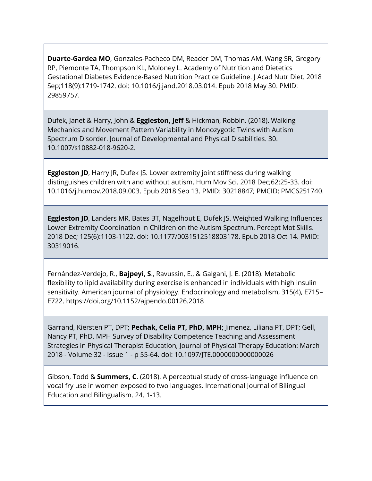**Duarte-Gardea MO**, Gonzales-Pacheco DM, Reader DM, Thomas AM, Wang SR, Gregory RP, Piemonte TA, Thompson KL, Moloney L. Academy of Nutrition and Dietetics Gestational Diabetes Evidence-Based Nutrition Practice Guideline. J Acad Nutr Diet. 2018 Sep;118(9):1719-1742. doi: 10.1016/j.jand.2018.03.014. Epub 2018 May 30. PMID: 29859757.

Dufek, Janet & Harry, John & **Eggleston, Jeff** & Hickman, Robbin. (2018). Walking Mechanics and Movement Pattern Variability in Monozygotic Twins with Autism Spectrum Disorder. Journal of Developmental and Physical Disabilities. 30. 10.1007/s10882-018-9620-2.

**Eggleston JD**, Harry JR, Dufek JS. Lower extremity joint stiffness during walking distinguishes children with and without autism. Hum Mov Sci. 2018 Dec;62:25-33. doi: 10.1016/j.humov.2018.09.003. Epub 2018 Sep 13. PMID: 30218847; PMCID: PMC6251740.

**Eggleston JD**, Landers MR, Bates BT, Nagelhout E, Dufek JS. Weighted Walking Influences Lower Extremity Coordination in Children on the Autism Spectrum. Percept Mot Skills. 2018 Dec; 125(6):1103-1122. doi: 10.1177/0031512518803178. Epub 2018 Oct 14. PMID: 30319016.

Fernández-Verdejo, R., **Bajpeyi, S**., Ravussin, E., & Galgani, J. E. (2018). Metabolic flexibility to lipid availability during exercise is enhanced in individuals with high insulin sensitivity. American journal of physiology. Endocrinology and metabolism, 315(4), E715– E722. https://doi.org/10.1152/ajpendo.00126.2018

Garrand, Kiersten PT, DPT; **Pechak, Celia PT, PhD, MPH**; Jimenez, Liliana PT, DPT; Gell, Nancy PT, PhD, MPH Survey of Disability Competence Teaching and Assessment Strategies in Physical Therapist Education, Journal of Physical Therapy Education: March 2018 - Volume 32 - Issue 1 - p 55-64. doi: 10.1097/JTE.0000000000000026

Gibson, Todd & **Summers, C**. (2018). A perceptual study of cross-language influence on vocal fry use in women exposed to two languages. International Journal of Bilingual Education and Bilingualism. 24. 1-13.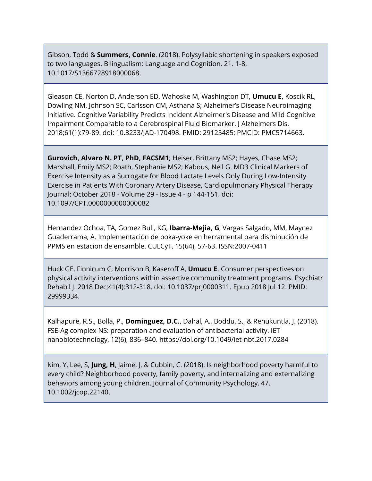Gibson, Todd & **Summers, Connie**. (2018). Polysyllabic shortening in speakers exposed to two languages. Bilingualism: Language and Cognition. 21. 1-8. 10.1017/S1366728918000068.

Gleason CE, Norton D, Anderson ED, Wahoske M, Washington DT, **Umucu E**, Koscik RL, Dowling NM, Johnson SC, Carlsson CM, Asthana S; Alzheimer's Disease Neuroimaging Initiative. Cognitive Variability Predicts Incident Alzheimer's Disease and Mild Cognitive Impairment Comparable to a Cerebrospinal Fluid Biomarker. J Alzheimers Dis. 2018;61(1):79-89. doi: 10.3233/JAD-170498. PMID: 29125485; PMCID: PMC5714663.

**Gurovich, Alvaro N. PT, PhD, FACSM1**; Heiser, Brittany MS2; Hayes, Chase MS2; Marshall, Emily MS2; Roath, Stephanie MS2; Kabous, Neil G. MD3 Clinical Markers of Exercise Intensity as a Surrogate for Blood Lactate Levels Only During Low-Intensity Exercise in Patients With Coronary Artery Disease, Cardiopulmonary Physical Therapy Journal: October 2018 - Volume 29 - Issue 4 - p 144-151. doi: 10.1097/CPT.0000000000000082

Hernandez Ochoa, TA, Gomez Bull, KG, **Ibarra-Mejia, G**, Vargas Salgado, MM, Maynez Guaderrama, A. Implementación de poka-yoke en herramental para disminución de PPMS en estacion de ensamble. CULCyT, 15(64), 57-63. ISSN:2007-0411

Huck GE, Finnicum C, Morrison B, Kaseroff A, **Umucu E**. Consumer perspectives on physical activity interventions within assertive community treatment programs. Psychiatr Rehabil J. 2018 Dec;41(4):312-318. doi: 10.1037/prj0000311. Epub 2018 Jul 12. PMID: 29999334.

Kalhapure, R.S., Bolla, P., **Dominguez, D.C.**, Dahal, A., Boddu, S., & Renukuntla, J. (2018). FSE-Ag complex NS: preparation and evaluation of antibacterial activity. IET nanobiotechnology, 12(6), 836–840. https://doi.org/10.1049/iet-nbt.2017.0284

Kim, Y, Lee, S, **Jung, H**, Jaime, J, & Cubbin, C. (2018). Is neighborhood poverty harmful to every child? Neighborhood poverty, family poverty, and internalizing and externalizing behaviors among young children. Journal of Community Psychology, 47. 10.1002/jcop.22140.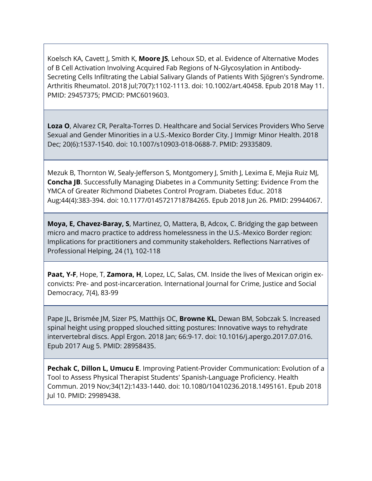Koelsch KA, Cavett J, Smith K, **Moore JS**, Lehoux SD, et al. Evidence of Alternative Modes of B Cell Activation Involving Acquired Fab Regions of N-Glycosylation in Antibody-Secreting Cells Infiltrating the Labial Salivary Glands of Patients With Sjögren's Syndrome. Arthritis Rheumatol. 2018 Jul;70(7):1102-1113. doi: 10.1002/art.40458. Epub 2018 May 11. PMID: 29457375; PMCID: PMC6019603.

**Loza O**, Alvarez CR, Peralta-Torres D. Healthcare and Social Services Providers Who Serve Sexual and Gender Minorities in a U.S.-Mexico Border City. J Immigr Minor Health. 2018 Dec; 20(6):1537-1540. doi: 10.1007/s10903-018-0688-7. PMID: 29335809.

Mezuk B, Thornton W, Sealy-Jefferson S, Montgomery J, Smith J, Lexima E, Mejia Ruiz MJ, **Concha JB**. Successfully Managing Diabetes in a Community Setting: Evidence From the YMCA of Greater Richmond Diabetes Control Program. Diabetes Educ. 2018 Aug;44(4):383-394. doi: 10.1177/0145721718784265. Epub 2018 Jun 26. PMID: 29944067.

**Moya, E, Chavez-Baray, S**, Martinez, O, Mattera, B, Adcox, C. Bridging the gap between micro and macro practice to address homelessness in the U.S.-Mexico Border region: Implications for practitioners and community stakeholders. Reflections Narratives of Professional Helping, 24 (1), 102-118

**Paat, Y-F**, Hope, T, **Zamora, H**, Lopez, LC, Salas, CM. Inside the lives of Mexican origin exconvicts: Pre- and post-incarceration. International Journal for Crime, Justice and Social Democracy, 7(4), 83‐99

Pape JL, Brismée JM, Sizer PS, Matthijs OC, **Browne KL**, Dewan BM, Sobczak S. Increased spinal height using propped slouched sitting postures: Innovative ways to rehydrate intervertebral discs. Appl Ergon. 2018 Jan; 66:9-17. doi: 10.1016/j.apergo.2017.07.016. Epub 2017 Aug 5. PMID: 28958435.

**Pechak C, Dillon L, Umucu E**. Improving Patient-Provider Communication: Evolution of a Tool to Assess Physical Therapist Students' Spanish-Language Proficiency. Health Commun. 2019 Nov;34(12):1433-1440. doi: 10.1080/10410236.2018.1495161. Epub 2018 Jul 10. PMID: 29989438.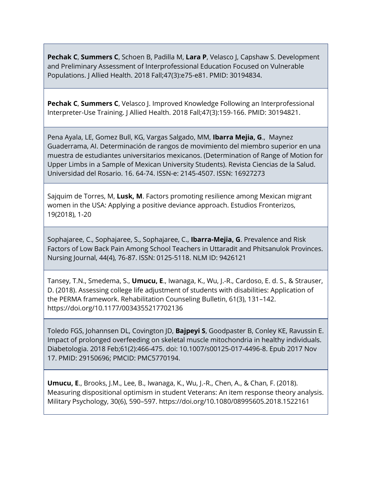**Pechak C**, **Summers C**, Schoen B, Padilla M, **Lara P**, Velasco J, Capshaw S. Development and Preliminary Assessment of Interprofessional Education Focused on Vulnerable Populations. J Allied Health. 2018 Fall;47(3):e75-e81. PMID: 30194834.

**Pechak C**, **Summers C**, Velasco J. Improved Knowledge Following an Interprofessional Interpreter-Use Training. J Allied Health. 2018 Fall;47(3):159-166. PMID: 30194821.

Pena Ayala, LE, Gomez Bull, KG, Vargas Salgado, MM, **Ibarra Mejia, G**., Maynez Guaderrama, AI. Determinación de rangos de movimiento del miembro superior en una muestra de estudiantes universitarios mexicanos. (Determination of Range of Motion for Upper Limbs in a Sample of Mexican University Students). Revista Ciencias de la Salud. Universidad del Rosario. 16. 64-74. ISSN-e: 2145-4507. ISSN: 16927273

Sajquim de Torres, M, **Lusk, M**. Factors promoting resilience among Mexican migrant women in the USA: Applying a positive deviance approach. Estudios Fronterizos, 19(2018), 1-20

Sophajaree, C., Sophajaree, S., Sophajaree, C., **Ibarra-Mejia, G**. Prevalence and Risk Factors of Low Back Pain Among School Teachers in Uttaradit and Phitsanulok Provinces. Nursing Journal, 44(4), 76-87. ISSN: 0125-5118. NLM ID: 9426121

Tansey, T.N., Smedema, S., **Umucu, E**., Iwanaga, K., Wu, J.-R., Cardoso, E. d. S., & Strauser, D. (2018). Assessing college life adjustment of students with disabilities: Application of the PERMA framework. Rehabilitation Counseling Bulletin, 61(3), 131–142. https://doi.org/10.1177/0034355217702136

Toledo FGS, Johannsen DL, Covington JD, **Bajpeyi S**, Goodpaster B, Conley KE, Ravussin E. Impact of prolonged overfeeding on skeletal muscle mitochondria in healthy individuals. Diabetologia. 2018 Feb;61(2):466-475. doi: 10.1007/s00125-017-4496-8. Epub 2017 Nov 17. PMID: 29150696; PMCID: PMC5770194.

**Umucu, E**., Brooks, J.M., Lee, B., Iwanaga, K., Wu, J.-R., Chen, A., & Chan, F. (2018). Measuring dispositional optimism in student Veterans: An item response theory analysis. Military Psychology, 30(6), 590–597. https://doi.org/10.1080/08995605.2018.1522161